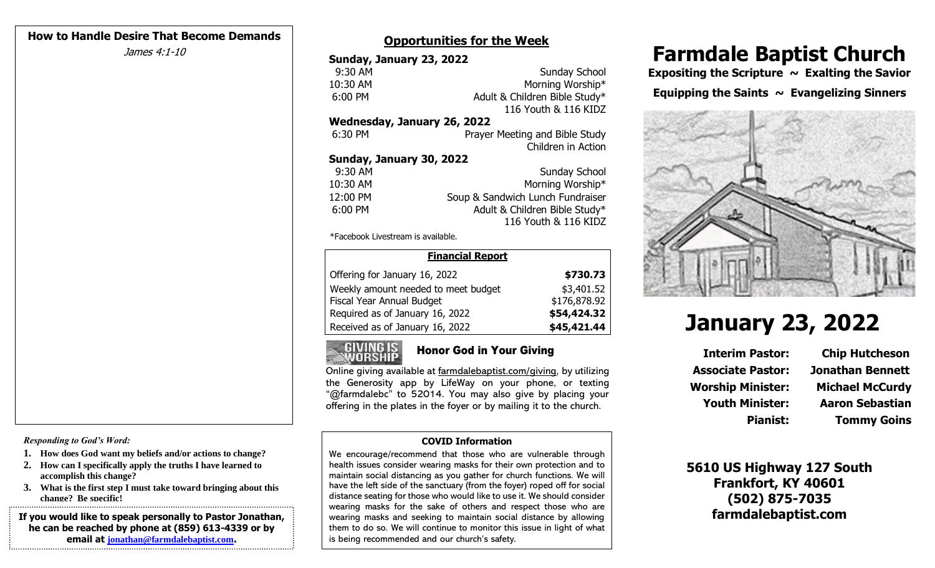#### **How to Handle Desire That Become Demands**

#### **Opportunities for the Week**

| Sunday, January 23, 2022    |                                  |  |
|-----------------------------|----------------------------------|--|
| 9:30 AM                     | Sunday School                    |  |
| 10:30 AM                    | Morning Worship*                 |  |
| 6:00 PM                     | Adult & Children Bible Study*    |  |
|                             | 116 Youth & 116 KIDZ             |  |
| Wednesday, January 26, 2022 |                                  |  |
| 6:30 PM                     | Prayer Meeting and Bible Study   |  |
|                             | Children in Action               |  |
| Sunday, January 30, 2022    |                                  |  |
| 9:30 AM                     | Sunday School                    |  |
| 10:30 AM                    | Morning Worship*                 |  |
| 12:00 PM                    | Soup & Sandwich Lunch Fundraiser |  |
| 6:00 PM                     | Adult & Children Bible Study*    |  |
|                             | 116 Youth & 116 KIDZ             |  |
|                             |                                  |  |

\*Facebook Livestream is available.

| <b>Financial Report</b>             |              |  |
|-------------------------------------|--------------|--|
| Offering for January 16, 2022       | \$730.73     |  |
| Weekly amount needed to meet budget | \$3,401.52   |  |
| Fiscal Year Annual Budget           | \$176,878.92 |  |
| Required as of January 16, 2022     | \$54,424.32  |  |
| Received as of January 16, 2022     | \$45,421.44  |  |



### Honor God in Your Giving

Online giving available at farmdalebaptist.com/giving, by utilizing the Generosity app by LifeWay on your phone, or texting "@farmdalebc" to 52014. You may also give by placing your offering in the plates in the foyer or by mailing it to the church.

#### **COVID Information**

We encourage/recommend that those who are vulnerable through health issues consider wearing masks for their own protection and to maintain social distancing as you gather for church functions. We will have the left side of the sanctuary (from the foyer) roped off for social distance seating for those who would like to use it. We should consider wearing masks for the sake of others and respect those who are wearing masks and seeking to maintain social distance by allowing them to do so. We will continue to monitor this issue in light of what is being recommended and our church's safety.

# James 4:1-10 **Farmdale Baptist Church** Sunday, January 23, 2022

Morning Worship\* **Expositing the Scripture ~ Exalting the Savior Equipping the Saints ~ Evangelizing Sinners**



# **January 23, 2022**

**Interim Pastor: Chip Hutcheson Associate Pastor: Jonathan Bennett Worship Minister: Michael McCurdy Youth Minister: Aaron Sebastian**

**Pianist: Tommy Goins**

**5610 US Highway 127 South Frankfort, KY 40601 (502) 875-7035 farmdalebaptist.com**

*Responding to God's Word:*

- **1. How does God want my beliefs and/or actions to change?**
- **2. How can I specifically apply the truths I have learned to accomplish this change?**
- **3. What is the first step I must take toward bringing about this change? Be specific!**

**If you would like to speak personally to Pastor Jonathan, he can be reached by phone at (859) 613-4339 or by email at [jonathan@farmdalebaptist.com](mailto:jonathan@farmdalebaptist.com).**